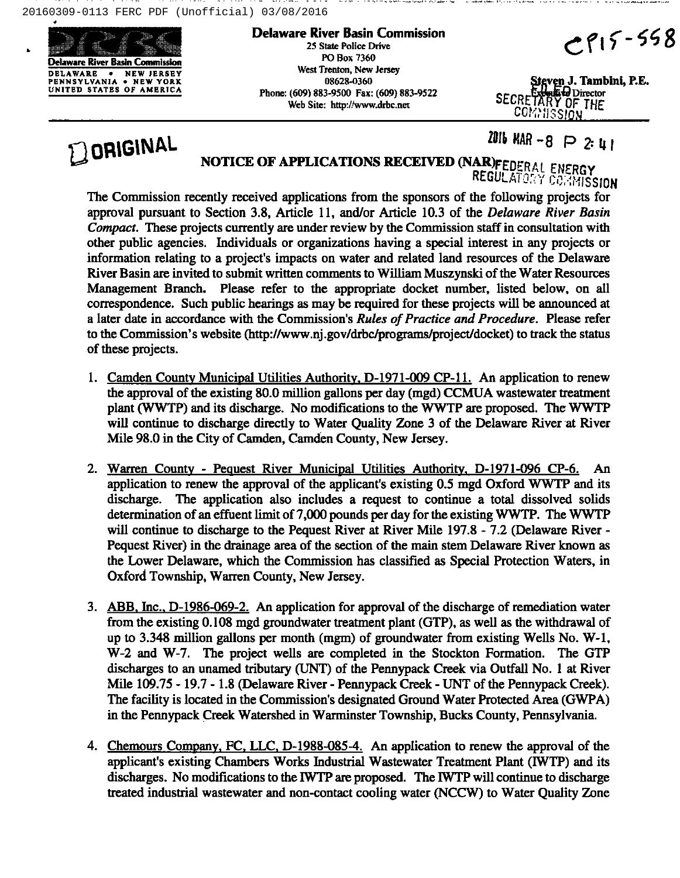20160309-0113 FERC PDF (Unofficial) 03/08/2016



Delaware River Basin Commission 25 State Police Drive PO Box 7360 West Trenton, New Jersey 08628-0360 Phone: (609) 883-9500 Fax: (609) 883-9522 Web Site: http://www.drbc.net

 $CPI5 - 558$ 

ven J. Tambini, P.E. SECRETARY OF THE COMMISSION

**Q** ORIGINAL

2016 MAR  $-8$   $\supset$  2: 41

## NOTICE OF APPLICATIONS RECEIVED (NAR)FEDERAL ENERGY

REGULATORY CORNISSION

The Commission recently received applications from the sponsors of the following projects for approval pursuant to Section 3.8, Article 11, and/or Article 10.3 of the Delaware River Basin Compact. These projects currently are under review by the Commission staff in consultation with other public agencies. Individuals or organizations having a special interest in any projects or information relating to a project's impacts on water and related land resources of the Delaware River Basin are invited to submit written comments to William Muszynski of the Water Resources Management Branch. Please refer to the appropriate docket number, listed below, on all correspondence. Such public hearings as may be required for these projects will be announced at a later date in accordance with the Commission's Rules of Practice and Procedure. Please refer to the Commission's website (http://www.nj.gov/drbc/programs/project/docket) to track the status of these projects.

- 1. Camden County Municipal Utilities Authority, D-1971-009 CP-11. An application to renew the approval of the existing 80.0 million gallons per day (mgd) CCMUA wastewater treatment plant (WWTP) and its discharge. No modifications to the WWTP are proposed. The WWTP will continue to discharge directly to Water Quality Zone 3 of the Delaware River at River Mile 98.0 in the City of Camden, Camden County, New Jersey.
- 2. Warren County Pequest River Municipal Utilities Authority, D-1971-096 CP-6. An application to renew the approval of the applicant's existing 0.5 mgd Oxford WWTP and its discharge. The application also includes a request to continue a total dissolved solids determination of an effuent limit of 7,000 pounds per day for the existing WWTP. The WWTP will continue to discharge to the Pequest River at River Mile 197.8 - 7.2 (Delaware River -Pequest River) in the drainage area of the section of the main stem Delaware River known as the Lower Delaware, which the Commission has classified as Special Protection Waters, in Oxford Township, Warren County, New Jersey.
- 3. ABB.Inc.. D-1986-069-2. An application for approval of the discharge of remediation water from the existing 0.108mgd groundwater treatment plant (GTP), as well as the withdrawal of up to 3.348 million gallons per month (mgm) of groundwater from existing Wells No.  $W-1$ , W-2 and W-7. The project wells are completed in the Stockton Formation. The GTP discharges to an unamed tributary (UNT) of the Pennypack Creek via Outfall No. <sup>1</sup> at River Mile 109.75- 19.7- 1.8(Delaware River - Pennypack Creek - UNT of the Pennypack Creek). The facility is located in the Commission's designated Ground Water Protected Area (GWPA) in the Pennypack Creek Watershed in Warminster Township, Bucks County, Pennsylvania.
- 4. Chemours Comnanv. FC. LLC. D-1988-085-4. An application to renew the approval of the applicant's existing Chambers Works Industrial Wastewater Treatment Plant (1WTP) and its discharges. No modifications to the IWTP are proposed. The IWTP will continue to discharge treated industrial wastewater and non-contact cooling water (NCCW) to Water Quality Zone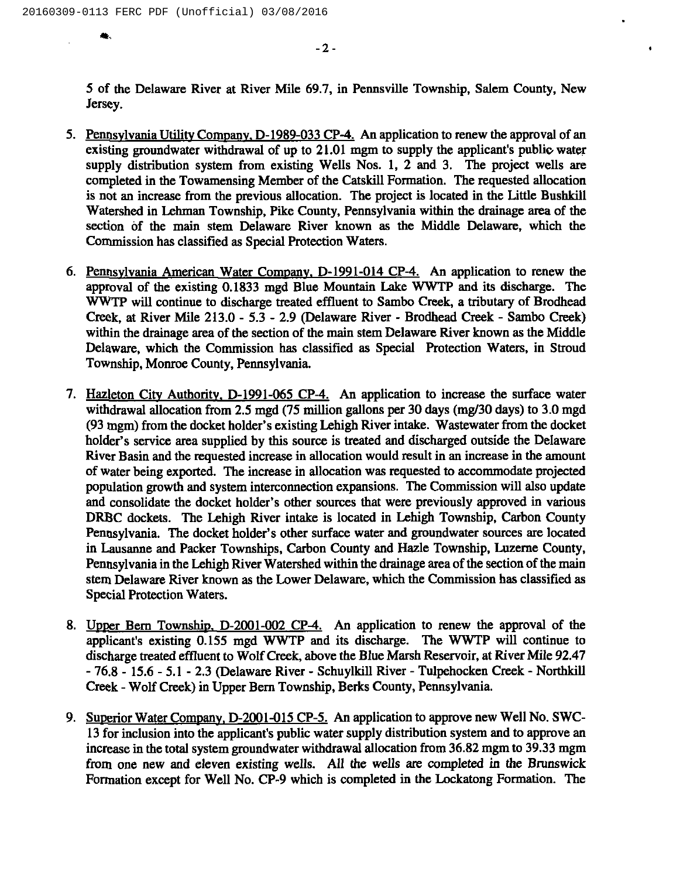$\bullet$  .

 $-2-$ 

5 of the Delaware River at River Mile 69.7, in Pennsville Township, Salem County, New Jersey.

- 5. Pennsylvania Utility Company, D-1989-033 CP-4. An application to renew the approval of an existing groundwater withdrawal of up to  $21.01$  mgm to supply the applicant's public water supply distribution system from existing Wells Nos. 1, 2 and 3. The project wells are completed in the Towamensing Member of the Catskill Formation. The requested allocation is not an increase from the previous allocation. The project is located in the Little Bushkill Watershed in Lehman Township, Pike County, Pennsylvania within the drainage area of the section of the main stem Delaware River known as the Middle Delaware, which the Commission has classified as Special Protection Waters.
- 6. Pennsvlvania American Water Comnanv. D-1991-014 CP-4. An application to renew the approval of the existing 0.1833 mgd Blue Mountain Lake WWTP and its discharge. The WWTP will continue to discharge treated effluent to Sambo Creek, a tributary of Brodhead Creek, at River Mile 213.0 - 5.3 - 2.9 (Delaware River - Brodhead Creek - Sambo Creek) within the drainage area of the section of the main stem Delaware River known as the Middle Delaware, which the Commission has classified as Special Protection Waters, in Stroud Township, Monroe County, Pennsylvania.
- 7. Hazleton City Authority, D-1991-065 CP-4. An application to increase the surface water withdrawal allocation from 2.5 mgd (75 million gallons per 30 days (mg/30 days) to 3.0mgd (93 mgm) from the docket holder's existing Lehigh River intake. Wastewater from the docket holder's service area supplied by this source is treated and discharged outside the Delaware River Basin and the requested increase in allocation would result in an increase in the amount of water being exported. The increase in allocation was requested to accommodate projected population growth and system interconnection expansions. The Commission will also update and consolidate the docket holder's other sources that were previously approved in various DRBC dockets. The Lehigh River intake is located in Lehigh Township, Carbon County Pennsylvania. The docket holder's other surface water and groundwater sources are located in Lausanne and Packer Townships, Carbon County and Hazle Township, Luzerne County, Pennsylvania in the Lehigh River Watershed within the drainage area of the section of the main stem Delaware River known as the Lower Delaware, which the Commission has classified as Special Protection Waters.
- 8. Upper Bern Township, D-2001-002 CP-4. An application to renew the approval of the applicant's existing 0.155 mgd WWTP and its discharge. The WWTP will continue to discharge treated effluent to Wolf Creek, above the Blue Marsh Reservoir, at River Mile 92 47 - 76.8 - 15.6 —5.1 - 2.3 (Delaware River - Schuylkill River —Tulpehocken Creek - Northkill Creek - Wolf Creek) in Upper Bern Township, Berks County, Pennsylvania.
- 9. Superior Water Company, D-2001-015 CP-5. An application to approve new Well No. SWC-13 for inclusion into the applicant's public water supply distribution system and to approve an increase in the total system groundwater withdrawal allocation from 36.82 mgm to 39.33 mgm from one new and eleven existing wells. All the wells are completed in the Brunswick Formation except for Well No. CP-9 which is completed in the Lockatong Formation. The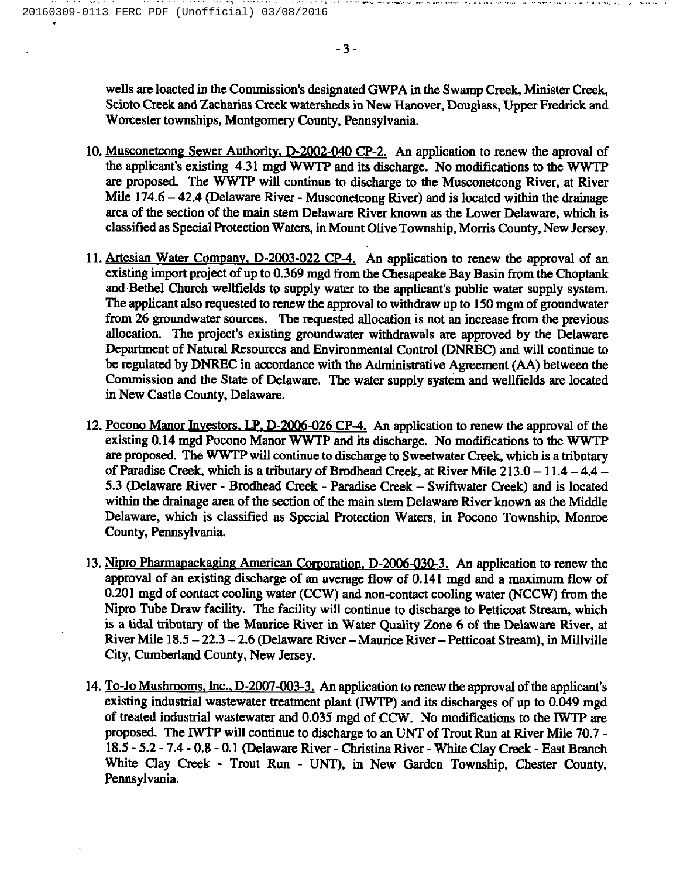wells are loacted in the Commission's designated GWPA in the Swamp Creek, Minister Creek, Scioto Creek and Zacharias Creek watersheds in New Hanover, Douglass, Upper Fredrick and Worcester townships, Montgomery County, Pennsylvania.

- 10. Musconetcong Sewer Authority, D-2002-040 CP-2. An application to renew the aproval of the applicant's existing 4.31 mgd WWTP and its discharge. No modifications to the WWTP are proposed. The WWTP will continue to discharge to the Musconetcong River, at River Mile 174.6 – 42.4 (Delaware River - Musconetcong River) and is located within the drainage area of the section of the main stem Delaware River known as the Lower Delaware, which is classified as Special Protection Waters, in Mount Olive Township, Morris County, New Jersey.
- 11. Artesian Water Company, D-2003-022 CP-4. An application to renew the approval of an existing import project of up to 0.369 mgd from the Chesapeake Bay Basin from the Choptank and Bethel Church wellfields to supply water to the applicant's public water supply system. The applicant also requested to renew the approval to withdraw up to 150 mgm of groundwater from 26 groundwater sources. The requested allocation is not an increase from the previous allocation. The project's existing groundwater withdrawals are approved by the Delaware Department of Natural Resources and Environmental Control (DNREC) and will continue to be regulated by DNREC in accordance with the Administrative Agreement (AA) between the Commission and the State of Delaware. The water supply system and wellfields are located in New Castle County, Delaware.
- 12. Pocono Manor Investors. LP. D-2006-026 CP-4. An application to renew the approval of the existing 0.14mgd Pocono Manor WWTP and its discharge. No modifications to the WWTP are proposed. The WWTP will continue to discharge to Sweetwater Creek, which is a tributary of Paradise Creek, which is a tributary of Brodhead Creek, at River Mile 213.0—11.4—4.4— 5.3 (Delaware River - Brodhead Creek - Paradise Creek —Swiftwater Creek) and is located within the drainage area of the section of the main stem Delaware River known as the Middle Delaware, which is classified as Special Protection Waters, in Pocono Township, Monroe County, Pennsylvania.
- 13. Nipro Pharmapackaging American Corporation, D-2006-030-3. An application to renew the approval of an existing discharge of an average flow of 0.141 mgd and a maximum flow of 0.201 mgd of contact cooling water (CCW) and non-contact cooling water (NCCW) from the Nipro Tube Draw facility. The facility will continue to discharge to Petticoat Stream, which is a tidal tributary of the Maurice River in Water Quality Zone 6 of the Delaware River, at River Mile 18.5—22.3 -2.6(Delaware River —Maurice River —Petticoat Stream), in Millville City, Cumberland County, New Jersey.
- 14. To-Jo Mushrooms, Inc., D-2007-003-3. An application to renew the approval of the applicant's existing industrial wastewater treatment plant (IWTP) and its discharges of up to 0.049 mgd of treated industrial wastewater and 0.035 mgd of CCW. No modifications to the IWTP are proposed. The IWTP will continue to discharge to an UNT of Trout Run at River Mile 70.7 -18.5- 5.2 —7.4 - 0.8 —0.1 (Delaware River - Christina River - White Clay Creek - East Branch White Clay Creek - Trout Run — UNT), in New Garden Township, Chester County, Pennsylvania.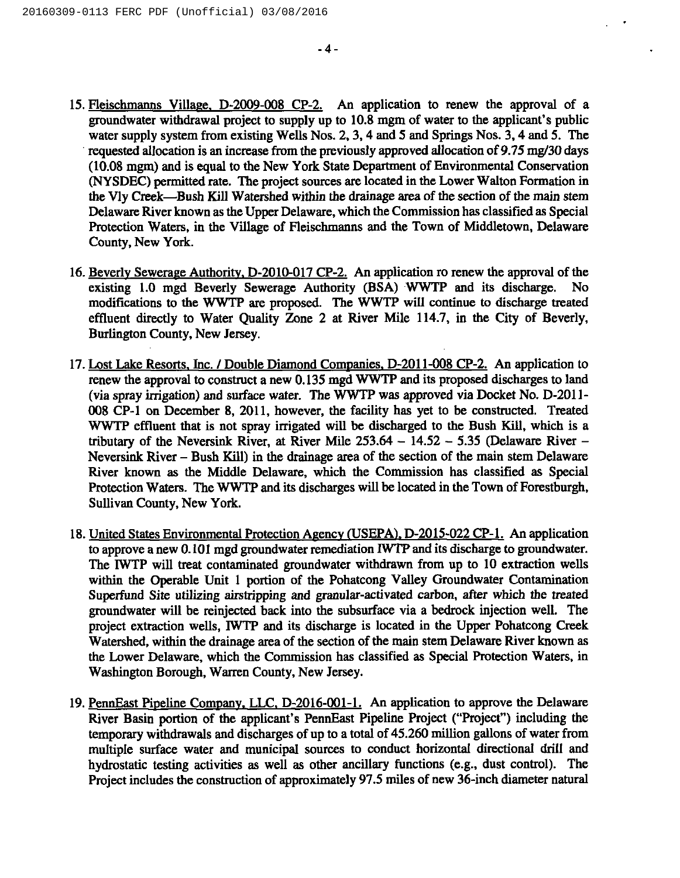- 15. Fleischmanns Village, D-2009-008 CP-2. An application to renew the approval of a groundwater withdrawal project to supply up to 10.8mgm of water to the applicant's public water supply system from existing Wells Nos. 2, 3, 4 and 5 and Springs Nos. 3, 4 and 5. The requested allocation is an increase from the previously approved allocation of 9.75mg/30 days (10.08mgm) and is equal to the New York State Department of Environmental Conservation (NYSDEC) permitted rate. The project sources are located in the Lower Walton Formation in the Vly Creek—Bush Kill Watershed within the drainage area of the section of the main stem Delaware River known as the Upper Delaware, which the Commission has classified as Special Protection Waters, in the Village of Heischmanns and the Town of Middletown, Delaware County, New York.
- 16. Beverly Sewerage Authority, D-2010-017 CP-2. An application ro renew the approval of the existing 1.0 mgd Beverly Sewerage Authority (BSA) WWTP and its discharge. No modifications to the WWTP are proposed. The WWTP will continue to discharge treated effluent directly to Water Quality Zone 2 at River Mile 114.7, in the City of Beverly, Burlington County, New Jersey.
- 17. Lost Lake Resorts, Inc. / Double Diamond Companies, D-2011-008 CP-2. An application to renew the approval to construct a new 0.135mgd WWTP and its proposed discharges to land (via spray irrigation) and surface water. The WWTP was approved via Docket No. D-2011- 008 CP-I on December 8, 2011, however, the facility has yet to be constructed. Treated WWTP effluent that is not spray irrigated will be discharged to the Bush Kill, which is a tributary of the Neversink River, at River Mile  $253.64 - 14.52 - 5.35$  (Delaware River -Neversink River – Bush Kill) in the drainage area of the section of the main stem Delaware River known as the Middle Delaware, which the Commission has classified as Special Protection Waters. The WWTP and its discharges will be located in the Town of Forestburgh, Sullivan County, New York.
- 18. United States Environmental Protection Agency (USEPA), D-2015-022 CP-1. An application to approve a new 0.101 mgd groundwater remediation IWTP and its discharge to groundwater. The IWTP will treat contaminated groundwater withdrawn from up to 10 extraction wells within the Operable Unit <sup>1</sup> portion of the Pohatcong Valley Groundwater Contamination Superfund Site utilizing airstripping and granular-activated carbon, after which the treated groundwater will be reinjected back into the subsurface via a bedrock injection well. The project extraction wells, IWTP and its discharge is located in the Upper Pohatcong Creek Watershed, within the drainage area of the section of the main stem Delaware River known as the Lower Delaware, which the Commission has classified as Special Protection Waters, in Washington Borough, Warren County, New Jersey.
- 19. PennEast Pipeline Company, LLC, D-2016-001-1. An application to approve the Delaware River Basin portion of the applicant's PennEast Pipeline Project ("Project") including the temporary withdrawals and discharges of up to a total of 45.260 million gallons of water from multiple surface water and municipal sources to conduct horizontal directional drill and hydrostatic testing activities as well as other ancillary functions (e.g., dust control). The Project includes the construction of approximately 97.5 miles of new 36-inch diameter natural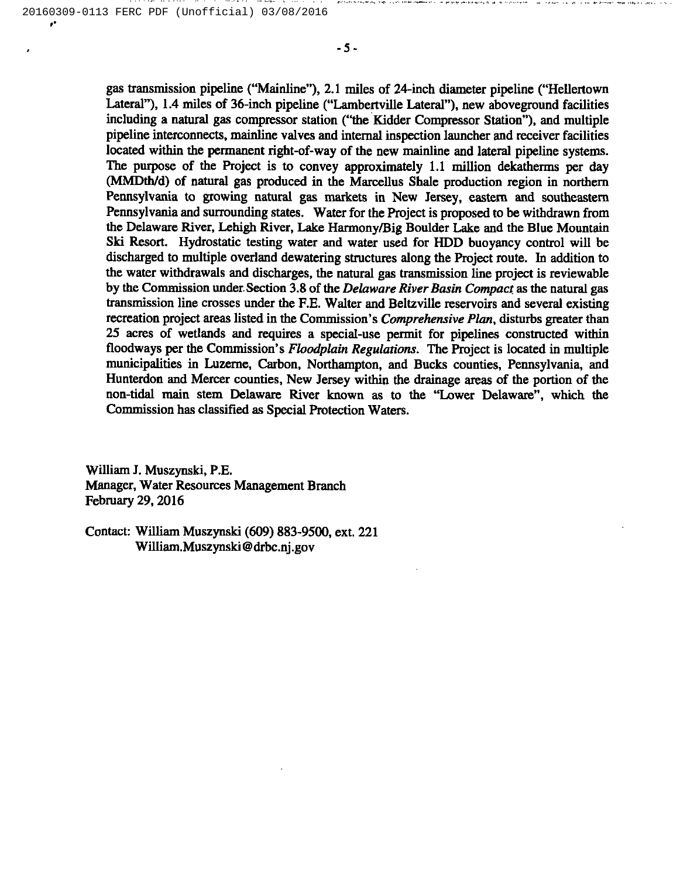gas transmission pipeline ("Mainline" ), 2.1 miles of 24-inch diameter pipeline ("Hellertown Lateral"), 1.4 miles of 36-inch pipeline ("Lambertville Lateral"), new aboveground facilities including a natural gas compressor station ("the Kidder Compressor Station"), and multiple pipeline interconnects, mainline valves and internal inspection launcher and receiver facilities located within the permanent right-of-way of the new mainline and lateral pipeline systems. The purpose of the Project is to convey approximately 1.1 million dekatherms per day (MMDth/d) of natural gas produced in the Marcellus Shale production region in northern Pennsylvania to growing natural gas markets in New Jersey, eastern and southeastern Pennsylvania and surrounding states. Water for the Project is proposed to be withdrawn from the Delaware River, Lehigh River, Lake Harmony/Big Boulder Lake and the Blue Mountain Ski Resort. Hydrostatic testing water and water used for HDD buoyancy control will be discharged to multiple overland dewatering structures along the Project route. In addition to the water withdrawals and discharges, the natural gas transmission line project is reviewable by the Commission under. Section 3.8of the Delaware River Basin Compact as the natural gas transmission line crosses under the F.E.Walter and Beltzville reservoirs and several existing recreation project areas listed in the Commission's *Comprehensive Plan*, disturbs greater than 25 acres of wetlands and requires a special-use permit for pipelines constructed within floodways per the Commission's Floodplain Regulations. The Project is located in multiple municipalities in Luzerne, Carbon, Northampton, and Bucks counties, Pennsylvania, and Hunterdon and Mercer counties, New Jersey within the drainage areas of the portion of the non-tidal main stem Delaware River known as to the "Lower Delaware", which the Commission has classified as Special Protection Waters.

William J. Muszynski, P.E. Manager, Water Resources Management Branch February 29, 2016

Contact: William Muszynski (609) 883-9500, ext. 221 William.Muszynski@drbc.nj.gov